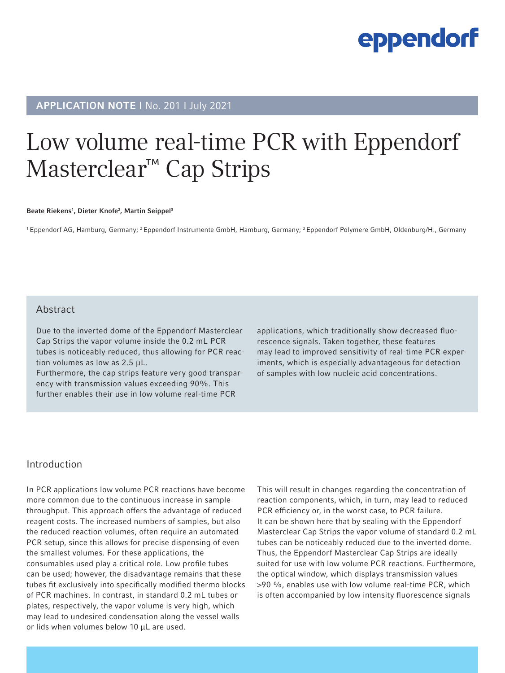### APPLICATION NOTE I No. 201 I July 2021

## Low volume real-time PCR with Eppendorf Masterclear™ Cap Strips

Beate Riekens<sup>1</sup>, Dieter Knofe<sup>2</sup>, Martin Seippel<sup>3</sup>

<sup>1</sup> Eppendorf AG, Hamburg, Germany; <sup>2</sup> Eppendorf Instrumente GmbH, Hamburg, Germany; <sup>3</sup> Eppendorf Polymere GmbH, Oldenburg/H., Germany

#### Abstract

Due to the inverted dome of the Eppendorf Masterclear Cap Strips the vapor volume inside the 0.2 mL PCR tubes is noticeably reduced, thus allowing for PCR reaction volumes as low as 2.5 μL.

Furthermore, the cap strips feature very good transparency with transmission values exceeding 90%. This further enables their use in low volume real-time PCR

applications, which traditionally show decreased fluorescence signals. Taken together, these features may lead to improved sensitivity of real-time PCR experiments, which is especially advantageous for detection of samples with low nucleic acid concentrations.

#### Introduction

In PCR applications low volume PCR reactions have become more common due to the continuous increase in sample throughput. This approach offers the advantage of reduced reagent costs. The increased numbers of samples, but also the reduced reaction volumes, often require an automated PCR setup, since this allows for precise dispensing of even the smallest volumes. For these applications, the consumables used play a critical role. Low profile tubes can be used; however, the disadvantage remains that these tubes fit exclusively into specifically modified thermo blocks of PCR machines. In contrast, in standard 0.2 mL tubes or plates, respectively, the vapor volume is very high, which may lead to undesired condensation along the vessel walls or lids when volumes below 10 μL are used.

This will result in changes regarding the concentration of reaction components, which, in turn, may lead to reduced PCR efficiency or, in the worst case, to PCR failure. It can be shown here that by sealing with the Eppendorf Masterclear Cap Strips the vapor volume of standard 0.2 mL tubes can be noticeably reduced due to the inverted dome. Thus, the Eppendorf Masterclear Cap Strips are ideally suited for use with low volume PCR reactions. Furthermore, the optical window, which displays transmission values >90 %, enables use with low volume real-time PCR, which is often accompanied by low intensity fluorescence signals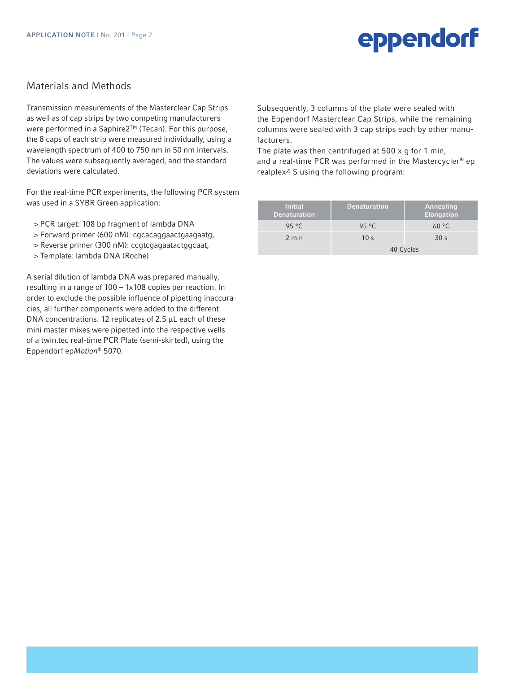### Materials and Methods

Transmission measurements of the Masterclear Cap Strips as well as of cap strips by two competing manufacturers were performed in a Saphire2™ (Tecan). For this purpose, the 8 caps of each strip were measured individually, using a wavelength spectrum of 400 to 750 nm in 50 nm intervals. The values were subsequently averaged, and the standard deviations were calculated.

For the real-time PCR experiments, the following PCR system was used in a SYBR Green application:

- > PCR target: 108 bp fragment of lambda DNA
- > Forward primer (600 nM): cgcacaggaactgaagaatg,
- > Reverse primer (300 nM): ccgtcgagaatactggcaat,
- > Template: lambda DNA (Roche)

A serial dilution of lambda DNA was prepared manually, resulting in a range of 100 – 1x108 copies per reaction. In order to exclude the possible influence of pipetting inaccuracies, all further components were added to the different DNA concentrations. 12 replicates of 2.5 μL each of these mini master mixes were pipetted into the respective wells of a twin.tec real-time PCR Plate (semi-skirted), using the Eppendorf ep*Motion*® 5070.

Subsequently, 3 columns of the plate were sealed with the Eppendorf Masterclear Cap Strips, while the remaining columns were sealed with 3 cap strips each by other manufacturers.

The plate was then centrifuged at  $500 \times q$  for 1 min. and a real-time PCR was performed in the Mastercycler® ep realplex4 S using the following program:

| <b>Initial</b><br><b>Denaturation</b> | <b>Denaturation</b> | Annealing<br>Elongation |  |
|---------------------------------------|---------------------|-------------------------|--|
| 95 $°C$                               | 95 $°C$             | 60 °C                   |  |
| 2 min                                 | 10 <sub>s</sub>     | 30 <sub>s</sub>         |  |
|                                       | 40 Cycles           |                         |  |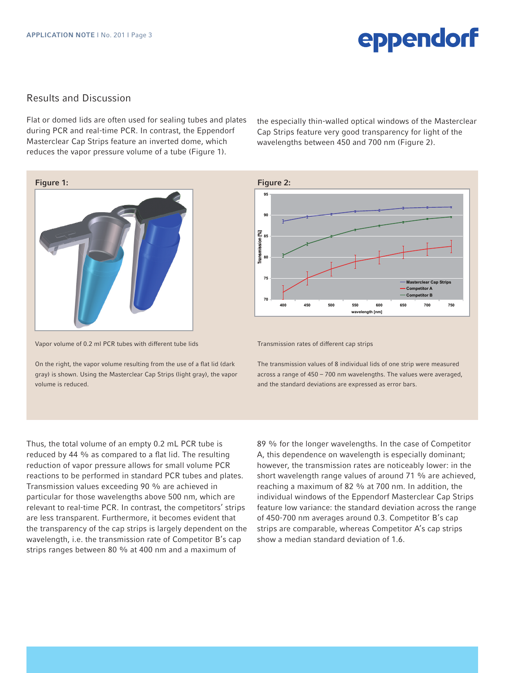### **Results and Discussion**

Flat or domed lids are often used for sealing tubes and plates during PCR and real-time PCR. In contrast, the Eppendorf Masterclear Cap Strips feature an inverted dome, which reduces the vapor pressure volume of a tube (Figure 1).

the especially thin-walled optical windows of the Masterclear Cap Strips feature very good transparency for light of the wavelengths between 450 and 700 nm (Figure 2). **Competitor B**



Vapor volume of 0.2 ml PCR tubes with different tube lids **Figure 1: Vapor volume of 0.2 ml PCR tubes with different** 

On the right, the vapor volume resulting from the use of a flat lid (dark On the right, the vapor volume resulting from the use of a flat gray) is shown. Using the Masterclear Cap Strips (light gray), the vapor volume is reduced. Un the right, the vapor volume resulting from the use of a fla

**Figure 2:** Transmission rates of different cap strips  $\mathbf{r}$ The transmission values of 8 individual lids of one strip were measured across a range of 450 – 700 nm wavelengths. The variable variable variable variable variable variable lues were averaged, and the standard deviations are expressed as error bars. Transmission values exceeding  $\sim$  1.1  $\sim$  1.1  $\sim$  1.1  $\sim$ particular for the those wavelengths above  $500$  nm, which are  $500$  nm, which are  $500$ relevant to real-time PCR. In contrast, the competitors' strips are less transparent. Furthermore, it becomes evident that the transparency of the cap strips is largely  $d = \frac{1}{400}$  and the transmission rate of the transmission rate of the transmission rate of the transmission rate of the transmission rate of the transmission rate of the transmission rate of the transmission rate of the Competitor B's cap strips ranges between 80  $^{\circ}$  strips ranges between 80  $^{\circ}$  mm  $^{\circ}$ **70 75 80 85 90 95 400 450 500 550 600 650 700 750 wath [nm] Masterclear Cap Strips Competitor A Competitor B**

especially dominant; however, the transmission rates of different cap strips. The variable of  $\sim$ 

(dark The transmission values of 8 individual lids of one strip were measured vapor across a range of 450 - 700 nm wavelengths. The values were averaged, and the standard deviations are expressed as error bars.

**Figure 1: Vapor volume of 0.2 ml PCR tubes with different**  Transmission values exceeding 90 % are achieved in **tube lids**  particular for those wavelengths above 500 nm, which are relevant to real-time PCR. In contrast, the competitors' strips are less transparent. Furthermore, it becomes evident that are transparency of the top empty or maying dependence on the<br>wavelength, i.e. the transmission rate of Competitor B's cap reduced by  $\frac{400}{100}$  and  $\frac{400}{100}$  resulting to a flat line. strips ranges between 80 % at 400 nm and a maximum of Thus, the total volume of an empty 0.2 mL PCR tube is reduced by 44 % as compared to a flat lid. The resulting reduction of vapor pressure allows for small volume PCR reactions to be performed in standard PCR tubes and plates. the transparency of the cap strips is largely dependent on the

89 % for the longer wavelengths. In the case of Competitor A, this dependence on wavelength is especially dominant; however, the transmission rates are noticeably lower: in the short wavelength range values of around 71 % are achieved, reaching a maximum of 82 % at 700 nm. In addition, the individual windows of the Eppendorf Masterclear Cap Strips feature low variance: the standard deviation across the range of 450-700 nm averages around 0.3. Competitor B's cap strips are comparable, whereas Competitor A's cap strips show a median standard deviation of 1.6. 3. Show a meandr Standard activition of no.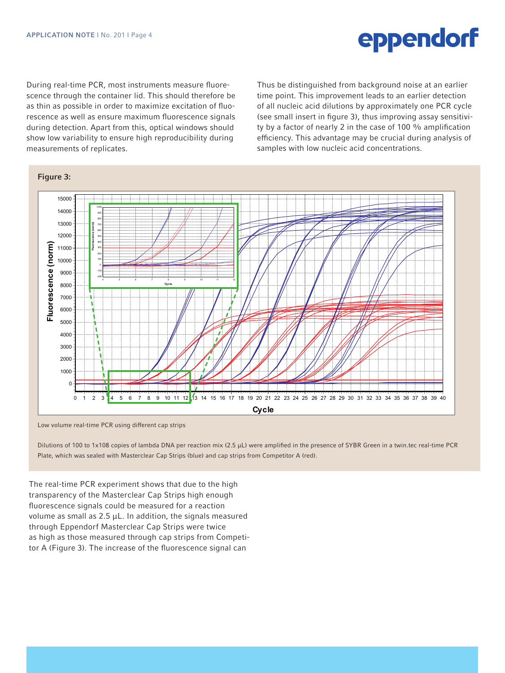as ann as possible in order to maximize exertation or nuo<br>rescence as well as ensure maximum fluorescence signals reseence as wen as ensure maximum nuoreseence signals<br>during detection. Apart from this, optical windows should as the contract of maximize excitence  $\frac{1}{2}$  as  $\frac{1}{2}$  as  $\frac{1}{2}$  and  $\frac{1}{2}$  are  $\frac{1}{2}$  and  $\frac{1}{2}$  are  $\frac{1}{2}$  and  $\frac{1}{2}$  are  $\frac{1}{2}$  and  $\frac{1}{2}$  are  $\frac{1}{2}$  and  $\frac{1}{2}$  are  $\frac{1}{2}$  and  $\frac$ show low variability to ensure high reproducibility during measurements of replicates. During real-time PCR, most instruments measure fluorescence through the container lid. This should therefore be as thin as possible in order to maximize excitation of fluodistinguished an earlier of the from background of an earlier of the from background insert in figure 3), thus improving assay sensitivity by a factor of nearly 2 in the case of 100 % amplification efficiency. This advantage may be crucial during analysis of emeloney, thus advantage may be crucial daring analy samples with low nucleic acid concentrations. Thus be distinguished from background noise at an earlier time point. This improvement leads to an earlier detection of all nucleic acid dilutions by approximately one PCR cycle



Low volume real-time PCR using different cap strips **Figure 3: 1999** Distributions of 1x108 copies of lambda DNA per reaction mix (2.5 µl) were amplified in the presence of SYBR Green in a twin.tech.

Dilutions of 100 to 1x108 copies of lambda DNA per reaction mix (2.5 µL) were amplified in the presence of SYBR Green in a twin.tec real-time PCR Plate, which was sealed with Masterclear Cap Strips (blue) and cap strips from Competitor A (red).

The real-time PCR experiment shows that due to the high transparency of the Masterclear Cap Strips high enough fluorescence signals could be measured for a reaction volume as small as 2.5 μL. In addition, the signals measured through Eppendorf Masterclear Cap Strips were twice as high as those measured through cap strips from Competi-(Figure 3). The increase of the fluorescence signal can tor A (Figure 3). The increase of the fluorescence signal can

### **Figure 3: measurements of replication**